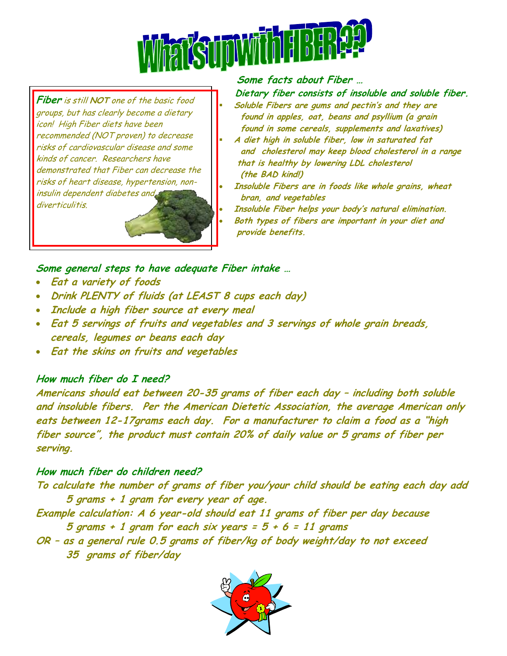

**Fiber** is still **NOT** one of the basic food groups, but has clearly become a dietary icon! High Fiber diets have been recommended (NOT proven) to decrease risks of cardiovascular disease and some kinds of cancer. Researchers have demonstrated that Fiber can decrease the risks of heart disease, hypertension, noninsulin dependent diabetes and diverticulitis.



#### **Some facts about Fiber …**

 **Dietary fiber consists of insoluble and soluble fiber. Soluble Fibers are gums and pectin's and they are found in apples, oat, beans and psyllium (a grain found in some cereals, supplements and laxatives)**

- **A diet high in soluble fiber, low in saturated fat and cholesterol may keep blood cholesterol in a range that is healthy by lowering LDL cholesterol (the BAD kind!)**
- **Insoluble Fibers are in foods like whole grains, wheat bran, and vegetables**
- **Insoluble Fiber helps your body's natural elimination. Both types of fibers are important in your diet and provide benefits.**

## **Some general steps to have adequate Fiber intake …**

- **Eat a variety of foods**
- **Drink PLENTY of fluids (at LEAST 8 cups each day)**
- **Include a high fiber source at every meal**
- **Eat 5 servings of fruits and vegetables and 3 servings of whole grain breads, cereals, legumes or beans each day**
- **Eat the skins on fruits and vegetables**

# **How much fiber do I need?**

**Americans should eat between 20-35 grams of fiber each day – including both soluble and insoluble fibers. Per the American Dietetic Association, the average American only eats between 12-17grams each day. For a manufacturer to claim a food as a "high fiber source", the product must contain 20% of daily value or 5 grams of fiber per serving.**

# **How much fiber do children need?**

**To calculate the number of grams of fiber you/your child should be eating each day add 5 grams + 1 gram for every year of age.**

**Example calculation: A 6 year-old should eat 11 grams of fiber per day because 5 grams + 1 gram for each six years = 5 + 6 = 11 grams**

**OR – as a general rule 0.5 grams of fiber/kg of body weight/day to not exceed 35 grams of fiber/day**